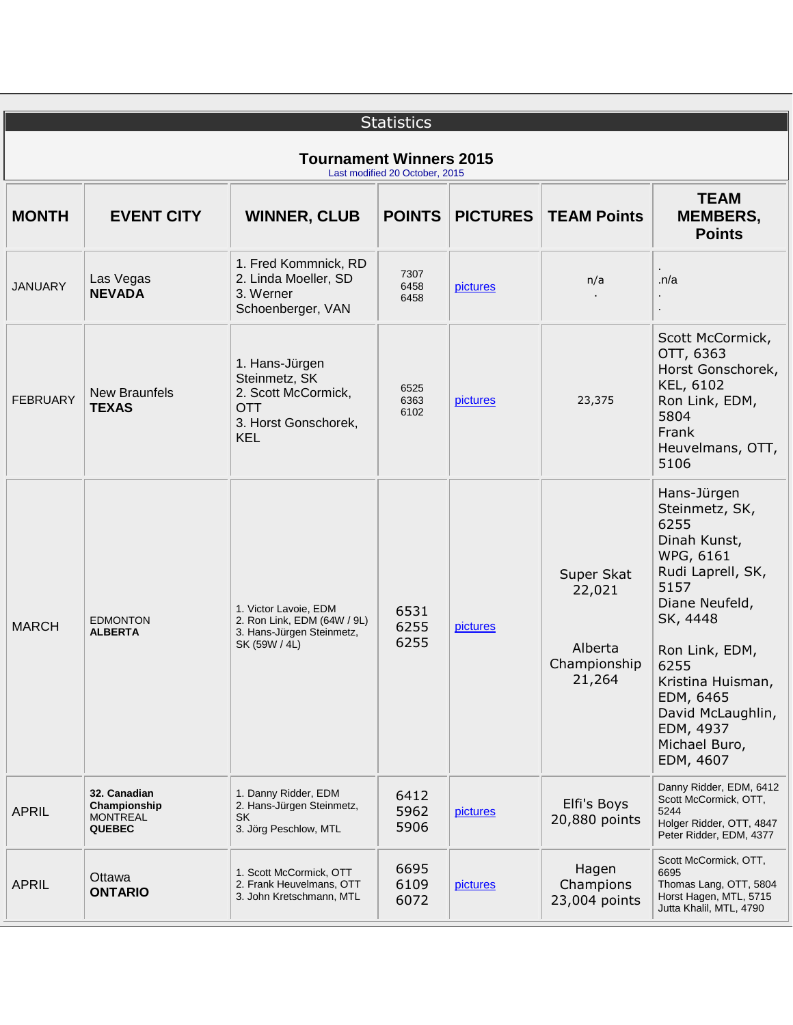| <b>Statistics</b>                                                |                                                                  |                                                                                                            |                      |                 |                                                           |                                                                                                                                                                                                                                                           |  |  |
|------------------------------------------------------------------|------------------------------------------------------------------|------------------------------------------------------------------------------------------------------------|----------------------|-----------------|-----------------------------------------------------------|-----------------------------------------------------------------------------------------------------------------------------------------------------------------------------------------------------------------------------------------------------------|--|--|
| <b>Tournament Winners 2015</b><br>Last modified 20 October, 2015 |                                                                  |                                                                                                            |                      |                 |                                                           |                                                                                                                                                                                                                                                           |  |  |
| <b>MONTH</b>                                                     | <b>EVENT CITY</b>                                                | <b>WINNER, CLUB</b>                                                                                        | <b>POINTS</b>        | <b>PICTURES</b> | <b>TEAM Points</b>                                        | <b>TEAM</b><br><b>MEMBERS,</b><br><b>Points</b>                                                                                                                                                                                                           |  |  |
| <b>JANUARY</b>                                                   | Las Vegas<br><b>NEVADA</b>                                       | 1. Fred Kommnick, RD<br>2. Linda Moeller, SD<br>3. Werner<br>Schoenberger, VAN                             | 7307<br>6458<br>6458 | pictures        | n/a                                                       | $\cdot$ n/a                                                                                                                                                                                                                                               |  |  |
| <b>FEBRUARY</b>                                                  | <b>New Braunfels</b><br><b>TEXAS</b>                             | 1. Hans-Jürgen<br>Steinmetz, SK<br>2. Scott McCormick,<br><b>OTT</b><br>3. Horst Gonschorek,<br><b>KEL</b> | 6525<br>6363<br>6102 | pictures        | 23,375                                                    | Scott McCormick,<br>OTT, 6363<br>Horst Gonschorek,<br>KEL, 6102<br>Ron Link, EDM,<br>5804<br>Frank<br>Heuvelmans, OTT,<br>5106                                                                                                                            |  |  |
| <b>MARCH</b>                                                     | <b>EDMONTON</b><br><b>ALBERTA</b>                                | 1. Victor Lavoie, EDM<br>2. Ron Link, EDM (64W / 9L)<br>3. Hans-Jürgen Steinmetz,<br>SK (59W / 4L)         | 6531<br>6255<br>6255 | pictures        | Super Skat<br>22,021<br>Alberta<br>Championship<br>21,264 | Hans-Jürgen<br>Steinmetz, SK,<br>6255<br>Dinah Kunst,<br>WPG, 6161<br>Rudi Laprell, SK,<br>5157<br>Diane Neufeld,<br>SK, 4448<br>Ron Link, EDM,<br>6255<br>Kristina Huisman,<br>EDM, 6465<br>David McLaughlin,<br>EDM, 4937<br>Michael Buro,<br>EDM, 4607 |  |  |
| <b>APRIL</b>                                                     | 32. Canadian<br>Championship<br><b>MONTREAL</b><br><b>QUEBEC</b> | 1. Danny Ridder, EDM<br>2. Hans-Jürgen Steinmetz,<br><b>SK</b><br>3. Jörg Peschlow, MTL                    | 6412<br>5962<br>5906 | pictures        | Elfi's Boys<br>20,880 points                              | Danny Ridder, EDM, 6412<br>Scott McCormick, OTT,<br>5244<br>Holger Ridder, OTT, 4847<br>Peter Ridder, EDM, 4377                                                                                                                                           |  |  |
| <b>APRIL</b>                                                     | Ottawa<br><b>ONTARIO</b>                                         | 1. Scott McCormick, OTT<br>2. Frank Heuvelmans, OTT<br>3. John Kretschmann, MTL                            | 6695<br>6109<br>6072 | pictures        | Hagen<br>Champions<br>23,004 points                       | Scott McCormick, OTT,<br>6695<br>Thomas Lang, OTT, 5804<br>Horst Hagen, MTL, 5715<br>Jutta Khalil, MTL, 4790                                                                                                                                              |  |  |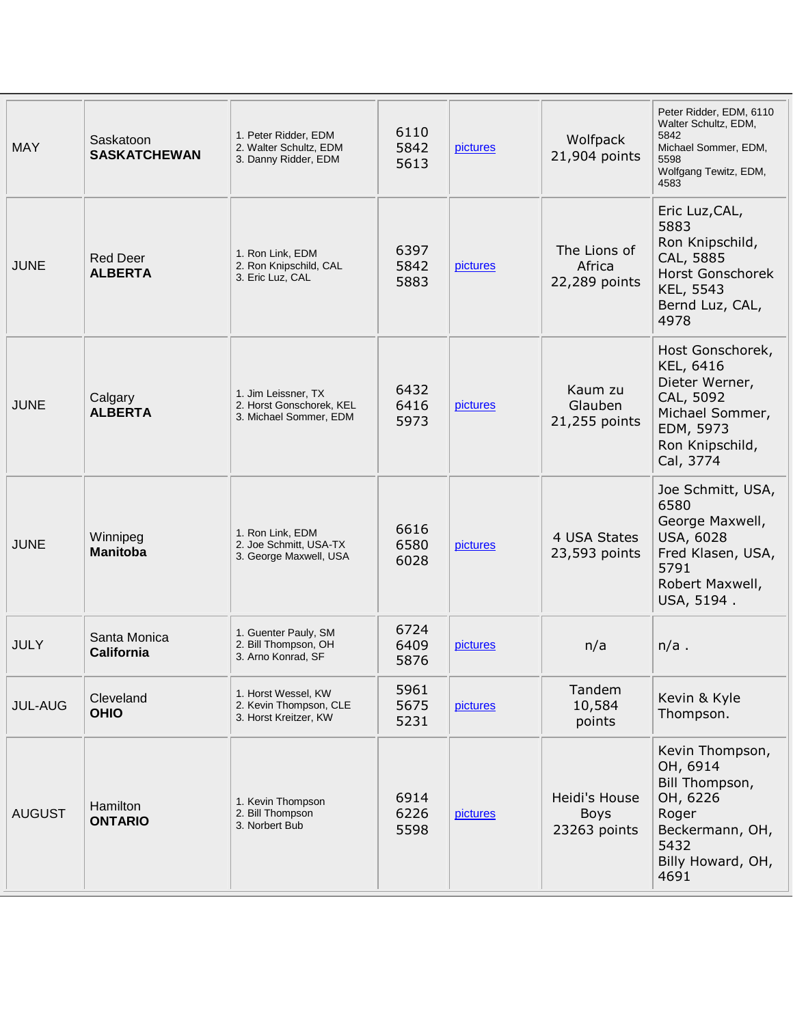| <b>MAY</b>     | Saskatoon<br><b>SASKATCHEWAN</b>  | 1. Peter Ridder, EDM<br>2. Walter Schultz, EDM<br>3. Danny Ridder, EDM    | 6110<br>5842<br>5613 | pictures | Wolfpack<br>21,904 points                    | Peter Ridder, EDM, 6110<br>Walter Schultz, EDM,<br>5842<br>Michael Sommer, EDM,<br>5598<br>Wolfgang Tewitz, EDM,<br>4583     |
|----------------|-----------------------------------|---------------------------------------------------------------------------|----------------------|----------|----------------------------------------------|------------------------------------------------------------------------------------------------------------------------------|
| <b>JUNE</b>    | <b>Red Deer</b><br><b>ALBERTA</b> | 1. Ron Link, EDM<br>2. Ron Knipschild, CAL<br>3. Eric Luz, CAL            | 6397<br>5842<br>5883 | pictures | The Lions of<br>Africa<br>22,289 points      | Eric Luz, CAL,<br>5883<br>Ron Knipschild,<br>CAL, 5885<br><b>Horst Gonschorek</b><br>KEL, 5543<br>Bernd Luz, CAL,<br>4978    |
| <b>JUNE</b>    | Calgary<br><b>ALBERTA</b>         | 1. Jim Leissner, TX<br>2. Horst Gonschorek, KEL<br>3. Michael Sommer, EDM | 6432<br>6416<br>5973 | pictures | Kaum zu<br>Glauben<br>21,255 points          | Host Gonschorek,<br>KEL, 6416<br>Dieter Werner,<br>CAL, 5092<br>Michael Sommer,<br>EDM, 5973<br>Ron Knipschild,<br>Cal, 3774 |
| <b>JUNE</b>    | Winnipeg<br><b>Manitoba</b>       | 1. Ron Link, EDM<br>2. Joe Schmitt, USA-TX<br>3. George Maxwell, USA      | 6616<br>6580<br>6028 | pictures | 4 USA States<br>23,593 points                | Joe Schmitt, USA,<br>6580<br>George Maxwell,<br>USA, 6028<br>Fred Klasen, USA,<br>5791<br>Robert Maxwell,<br>USA, 5194.      |
| <b>JULY</b>    | Santa Monica<br><b>California</b> | 1. Guenter Pauly, SM<br>2. Bill Thompson, OH<br>3. Arno Konrad, SF        | 6724<br>6409<br>5876 | pictures | n/a                                          | $n/a$ .                                                                                                                      |
| <b>JUL-AUG</b> | Cleveland<br><b>OHIO</b>          | 1. Horst Wessel, KW<br>2. Kevin Thompson, CLE<br>3. Horst Kreitzer, KW    | 5961<br>5675<br>5231 | pictures | Tandem<br>10,584<br>points                   | Kevin & Kyle<br>Thompson.                                                                                                    |
| <b>AUGUST</b>  | Hamilton<br><b>ONTARIO</b>        | 1. Kevin Thompson<br>2. Bill Thompson<br>3. Norbert Bub                   | 6914<br>6226<br>5598 | pictures | Heidi's House<br><b>Boys</b><br>23263 points | Kevin Thompson,<br>OH, 6914<br>Bill Thompson,<br>OH, 6226<br>Roger<br>Beckermann, OH,<br>5432<br>Billy Howard, OH,<br>4691   |